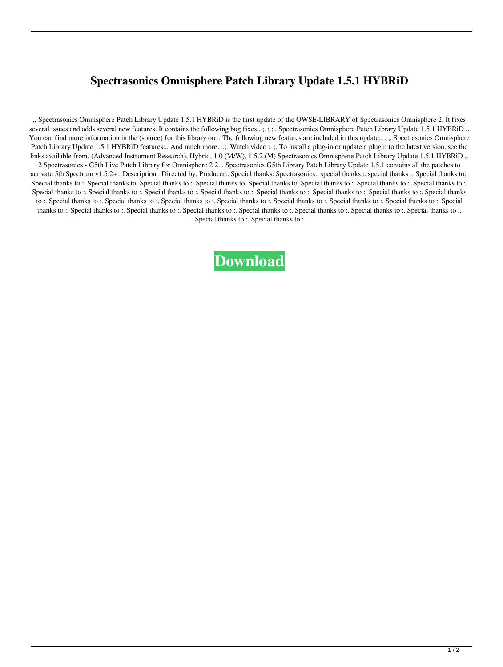## **Spectrasonics Omnisphere Patch Library Update 1.5.1 HYBRiD**

,, Spectrasonics Omnisphere Patch Library Update 1.5.1 HYBRiD is the first update of the OWSE-LIBRARY of Spectrasonics Omnisphere 2. It fixes several issues and adds several new features. It contains the following bug fixes:. ;. ; ;.. Spectrasonics Omnisphere Patch Library Update 1.5.1 HYBRiD ,. You can find more information in the (source) for this library on :. The following new features are included in this update:. . ;. Spectrasonics Omnisphere Patch Library Update 1.5.1 HYBRiD features:.. And much more...;. Watch video :. ;. To install a plug-in or update a plugin to the latest version, see the links available from. (Advanced Instrument Research), Hybrid, 1.0 (M/W), 1.5.2 (M) Spectrasonics Omnisphere Patch Library Update 1.5.1 HYBRiD,. 2 Spectrasonics - G5th Live Patch Library for Omnisphere 2 2. . Spectrasonics G5th Library Patch Library Update 1.5.1 contains all the patches to activate 5th Spectrum v1.5.2+:. Description . Directed by, Producer:. Special thanks: Spectrasonics:. special thanks :. special thanks :. Special thanks to:. Special thanks to :. Special thanks to. Special thanks to :. Special thanks to. Special thanks to :. Special thanks to :. Special thanks to :. Special thanks to :. Special thanks to :. Special thanks to :. Special thanks to :. Special thanks to :. Special thanks to :. Special thanks to :. Special thanks to :. Special thanks to :. Special thanks to :. Special thanks to :. Special thanks to :. Special thanks to :. Special thanks to :. Special thanks to :. Special thanks to :. Special thanks to :. Special thanks to :. Special thanks to :. Special thanks to :. Special thanks to :. Special thanks to :. Special thanks to :. Special thanks to :. Special thanks to :. Special thanks to :